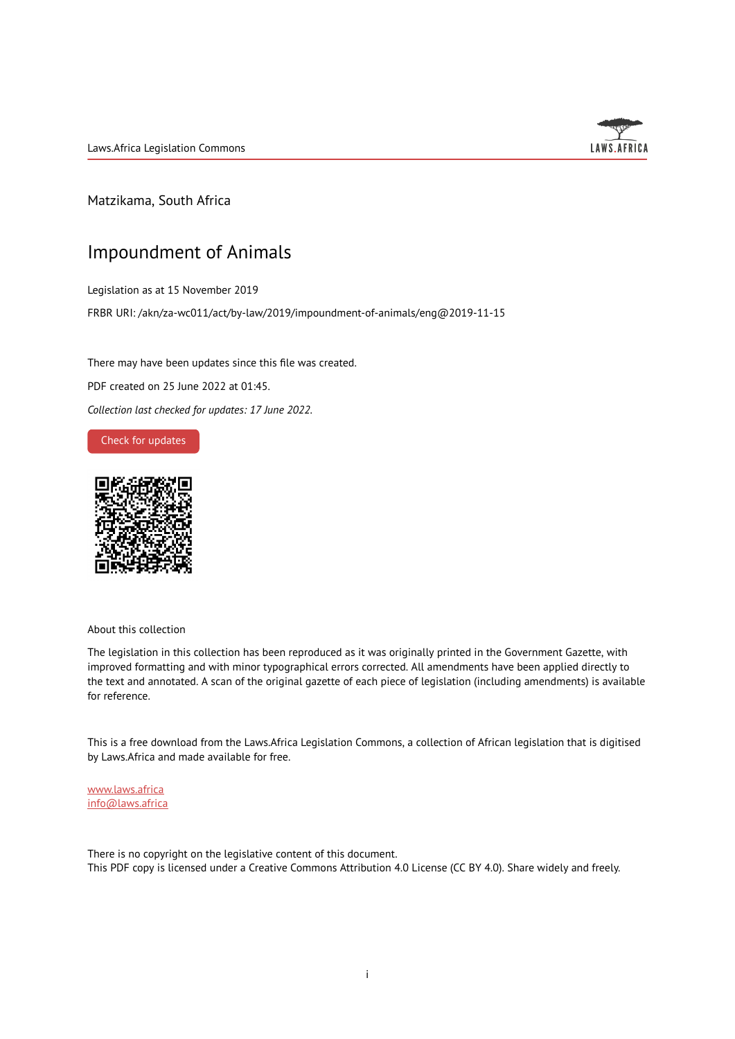Laws.Africa Legislation Commons



Matzikama, South Africa

# Impoundment of Animals

Legislation as at 15 November 2019

FRBR URI: /akn/za-wc011/act/by-law/2019/impoundment-of-animals/eng@2019-11-15

There may have been updates since this file was created.

PDF created on 25 June 2022 at 01:45.

*Collection last checked for updates: 17 June 2022*.

Check for [updates](https://commons.laws.africa/akn/za-wc011/act/by-law/2019/impoundment-of-animals/eng@2019-11-15?ts=2022-06-25T01:45:24.634177+00:00)



About this collection

The legislation in this collection has been reproduced as it was originally printed in the Government Gazette, with improved formatting and with minor typographical errors corrected. All amendments have been applied directly to the text and annotated. A scan of the original gazette of each piece of legislation (including amendments) is available for reference.

This is a free download from the Laws.Africa Legislation Commons, a collection of African legislation that is digitised by Laws.Africa and made available for free.

[www.laws.africa](https://www.laws.africa) [info@laws.africa](mailto:info@laws.africa)

There is no copyright on the legislative content of this document. This PDF copy is licensed under a Creative Commons Attribution 4.0 License (CC BY 4.0). Share widely and freely.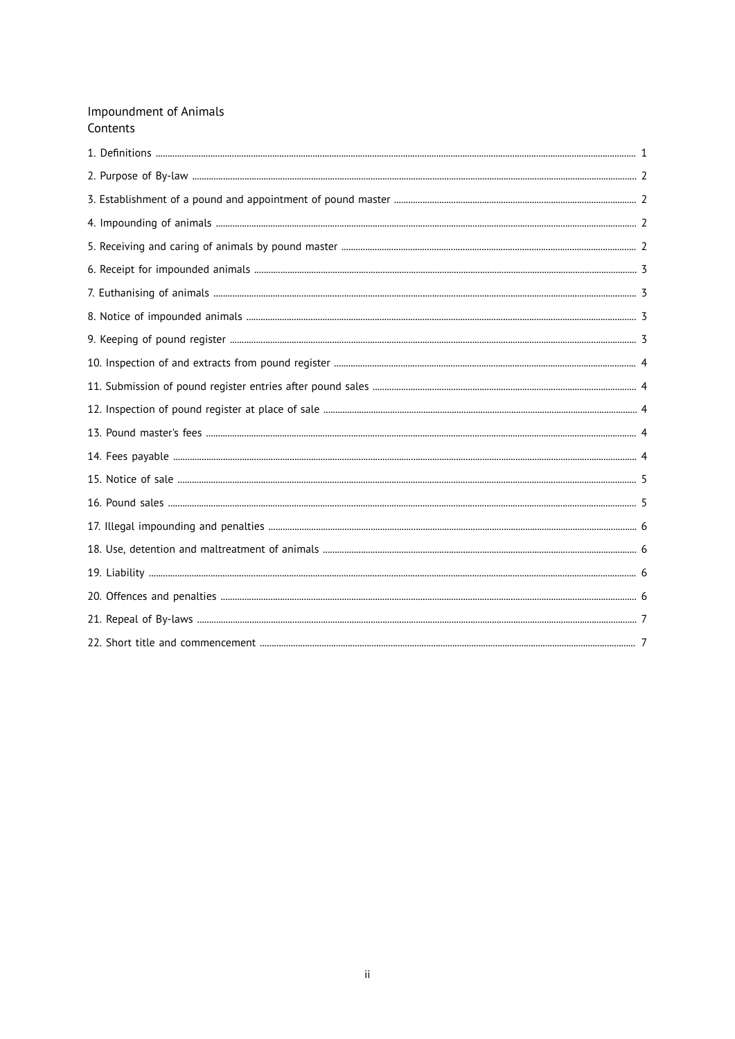# **Impoundment of Animals** Contents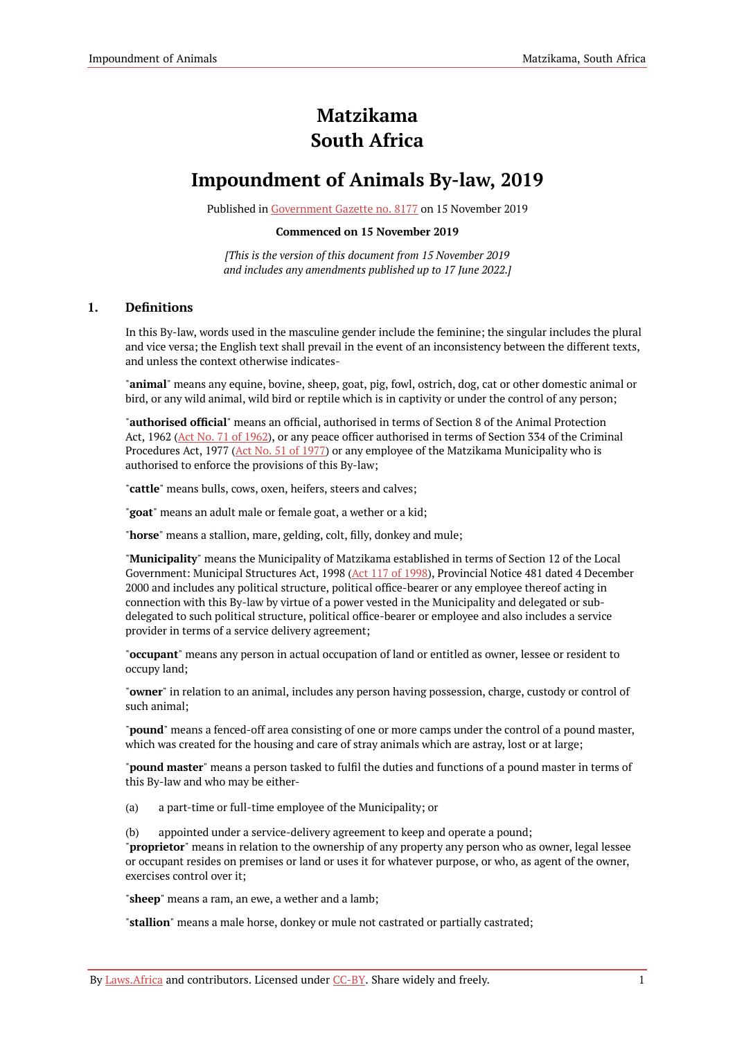# **Matzikama South Africa**

# **Impoundment of Animals By-law, 2019**

Published in [Government](https://commons.laws.africa/akn/za-wc011/act/by-law/2019/impoundment-of-animals/media/publication/za-wc011-act-by-law-2019-impoundment-of-animals-publication-document.pdf) Gazette no. 8177 on 15 November 2019

#### **Commenced on 15 November 2019**

*[This is the version of this document from 15 November 2019 and includes any amendments published up to 17 June 2022.]*

# <span id="page-2-0"></span>**1. Definitions**

In this By-law, words used in the masculine gender include the feminine; the singular includes the plural and vice versa; the English text shall prevail in the event of an inconsistency between the different texts, and unless the context otherwise indicates-

"**animal**" means any equine, bovine, sheep, goat, pig, fowl, ostrich, dog, cat or other domestic animal or bird, or any wild animal, wild bird or reptile which is in captivity or under the control of any person;

"**authorised official**" means an official, authorised in terms of Section 8 of the Animal Protection Act, [1962](https://resolver.laws.africa/resolve/akn/za/act/1962/71) (Act No. 71 of 1962), or any peace officer authorised in terms of Section 334 of the Criminal Procedures Act, 1977 (Act No. 51 of [1977\)](https://resolver.laws.africa/resolve/akn/za/act/1977/51) or any employee of the Matzikama Municipality who is authorised to enforce the provisions of this By-law;

"**cattle**" means bulls, cows, oxen, heifers, steers and calves;

"**goat**" means an adult male or female goat, a wether or a kid;

"**horse**" means a stallion, mare, gelding, colt, filly, donkey and mule;

"**Municipality**" means the Municipality of Matzikama established in terms of Section 12 of the Local Government: Municipal Structures Act, 1998 (Act 117 of [1998\)](https://resolver.laws.africa/resolve/akn/za/act/1998/117), Provincial Notice 481 dated 4 December 2000 and includes any political structure, political office-bearer or any employee thereof acting in connection with this By-law by virtue of a power vested in the Municipality and delegated or subdelegated to such political structure, political office-bearer or employee and also includes a service provider in terms of a service delivery agreement;

"**occupant**" means any person in actual occupation of land or entitled as owner, lessee or resident to occupy land;

"**owner**" in relation to an animal, includes any person having possession, charge, custody or control of such animal;

"**pound**" means a fenced-off area consisting of one or more camps under the control of a pound master, which was created for the housing and care of stray animals which are astray, lost or at large;

"**pound master**" means a person tasked to fulfil the duties and functions of a pound master in terms of this By-law and who may be either-

(a) a part-time or full-time employee of the Municipality; or

(b) appointed under a service-delivery agreement to keep and operate a pound; "**proprietor**" means in relation to the ownership of any property any person who as owner, legal lessee or occupant resides on premises or land or uses it for whatever purpose, or who, as agent of the owner, exercises control over it;

"**sheep**" means a ram, an ewe, a wether and a lamb;

"**stallion**" means a male horse, donkey or mule not castrated or partially castrated;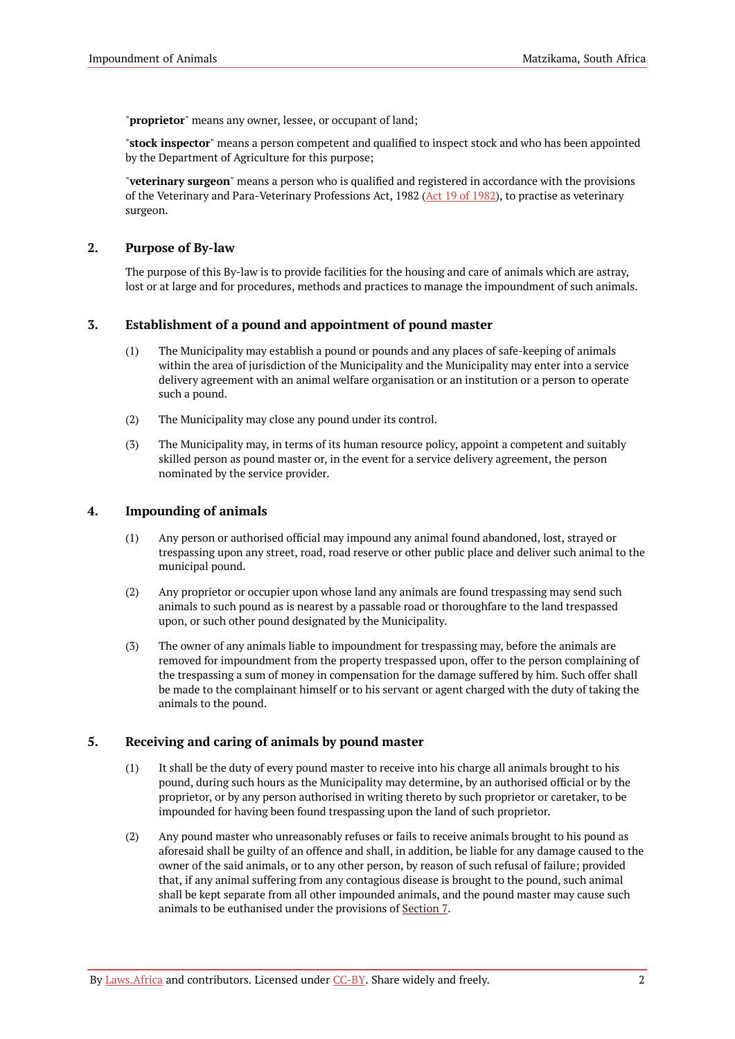"**proprietor**" means any owner, lessee, or occupant of land;

"**stock inspector**" means a person competent and qualified to inspect stock and who has been appointed by the Department of Agriculture for this purpose;

"**veterinary surgeon**" means a person who is qualified and registered in accordance with the provisions of the Veterinary and Para-Veterinary Professions Act, 1982 (Act 19 of [1982\)](https://resolver.laws.africa/resolve/akn/za/act/1982/19), to practise as veterinary surgeon.

#### <span id="page-3-0"></span>**2. Purpose of By-law**

The purpose of this By-law is to provide facilities for the housing and care of animals which are astray, lost or at large and for procedures, methods and practices to manage the impoundment of such animals.

# <span id="page-3-1"></span>**3. Establishment of a pound and appointment of pound master**

- (1) The Municipality may establish a pound or pounds and any places of safe-keeping of animals within the area of jurisdiction of the Municipality and the Municipality may enter into a service delivery agreement with an animal welfare organisation or an institution or a person to operate such a pound.
- (2) The Municipality may close any pound under its control.
- (3) The Municipality may, in terms of its human resource policy, appoint a competent and suitably skilled person as pound master or, in the event for a service delivery agreement, the person nominated by the service provider.

# <span id="page-3-2"></span>**4. Impounding of animals**

- (1) Any person or authorised official may impound any animal found abandoned, lost, strayed or trespassing upon any street, road, road reserve or other public place and deliver such animal to the municipal pound.
- (2) Any proprietor or occupier upon whose land any animals are found trespassing may send such animals to such pound as is nearest by a passable road or thoroughfare to the land trespassed upon, or such other pound designated by the Municipality.
- (3) The owner of any animals liable to impoundment for trespassing may, before the animals are removed for impoundment from the property trespassed upon, offer to the person complaining of the trespassing a sum of money in compensation for the damage suffered by him. Such offer shall be made to the complainant himself or to his servant or agent charged with the duty of taking the animals to the pound.

#### <span id="page-3-3"></span>**5. Receiving and caring of animals by pound master**

- (1) It shall be the duty of every pound master to receive into his charge all animals brought to his pound, during such hours as the Municipality may determine, by an authorised official or by the proprietor, or by any person authorised in writing thereto by such proprietor or caretaker, to be impounded for having been found trespassing upon the land of such proprietor.
- (2) Any pound master who unreasonably refuses or fails to receive animals brought to his pound as aforesaid shall be guilty of an offence and shall, in addition, be liable for any damage caused to the owner of the said animals, or to any other person, by reason of such refusal of failure; provided that, if any animal suffering from any contagious disease is brought to the pound, such animal shall be kept separate from all other impounded animals, and the pound master may cause such animals to be euthanised under the provisions of [Section](#page-4-1) 7.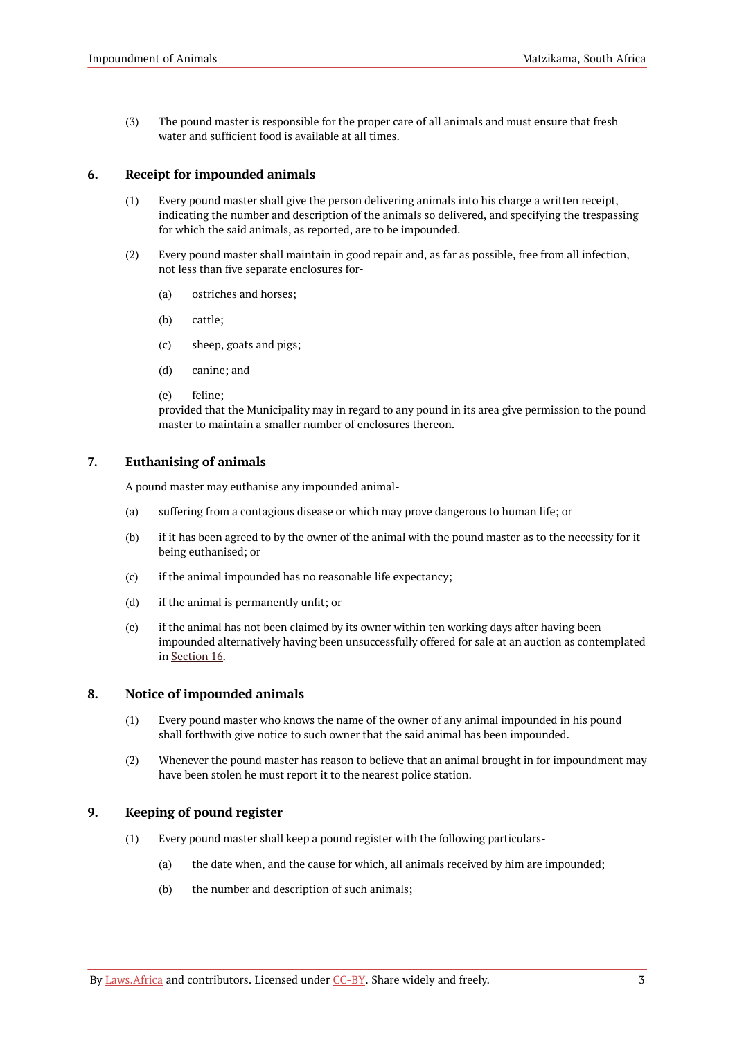(3) The pound master is responsible for the proper care of all animals and must ensure that fresh water and sufficient food is available at all times.

#### <span id="page-4-0"></span>**6. Receipt for impounded animals**

- (1) Every pound master shall give the person delivering animals into his charge a written receipt, indicating the number and description of the animals so delivered, and specifying the trespassing for which the said animals, as reported, are to be impounded.
- (2) Every pound master shall maintain in good repair and, as far as possible, free from all infection, not less than five separate enclosures for-
	- (a) ostriches and horses;
	- (b) cattle;
	- (c) sheep, goats and pigs;
	- (d) canine; and
	- (e) feline;

provided that the Municipality may in regard to any pound in its area give permission to the pound master to maintain a smaller number of enclosures thereon.

# <span id="page-4-1"></span>**7. Euthanising of animals**

A pound master may euthanise any impounded animal-

- (a) suffering from a contagious disease or which may prove dangerous to human life; or
- (b) if it has been agreed to by the owner of the animal with the pound master as to the necessity for it being euthanised; or
- (c) if the animal impounded has no reasonable life expectancy;
- (d) if the animal is permanently unfit; or
- (e) if the animal has not been claimed by its owner within ten working days after having been impounded alternatively having been unsuccessfully offered for sale at an auction as contemplated in [Section](#page-6-1) 16.

# <span id="page-4-2"></span>**8. Notice of impounded animals**

- (1) Every pound master who knows the name of the owner of any animal impounded in his pound shall forthwith give notice to such owner that the said animal has been impounded.
- (2) Whenever the pound master has reason to believe that an animal brought in for impoundment may have been stolen he must report it to the nearest police station.

#### <span id="page-4-3"></span>**9. Keeping of pound register**

- (1) Every pound master shall keep a pound register with the following particulars-
	- (a) the date when, and the cause for which, all animals received by him are impounded;
	- (b) the number and description of such animals;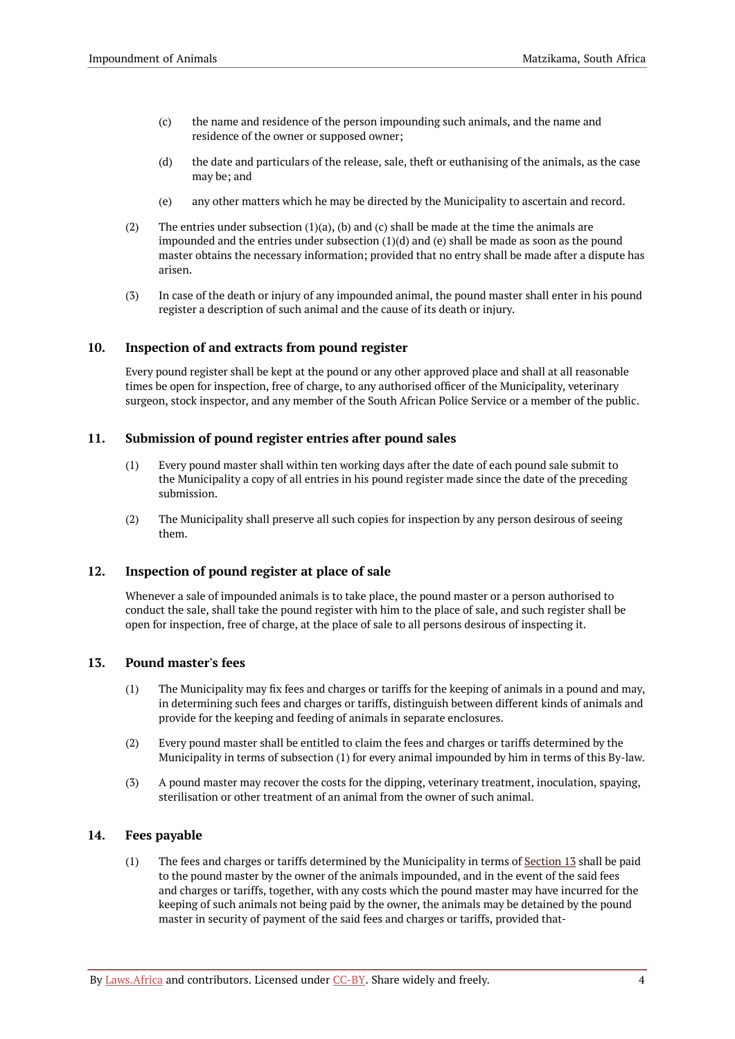- (c) the name and residence of the person impounding such animals, and the name and residence of the owner or supposed owner;
- (d) the date and particulars of the release, sale, theft or euthanising of the animals, as the case may be; and
- (e) any other matters which he may be directed by the Municipality to ascertain and record.
- (2) The entries under subsection  $(1)(a)$ , (b) and (c) shall be made at the time the animals are impounded and the entries under subsection (1)(d) and (e) shall be made as soon as the pound master obtains the necessary information; provided that no entry shall be made after a dispute has arisen.
- (3) In case of the death or injury of any impounded animal, the pound master shall enter in his pound register a description of such animal and the cause of its death or injury.

# <span id="page-5-0"></span>**10. Inspection of and extracts from pound register**

Every pound register shall be kept at the pound or any other approved place and shall at all reasonable times be open for inspection, free of charge, to any authorised officer of the Municipality, veterinary surgeon, stock inspector, and any member of the South African Police Service or a member of the public.

# <span id="page-5-1"></span>**11. Submission of pound register entries after pound sales**

- (1) Every pound master shall within ten working days after the date of each pound sale submit to the Municipality a copy of all entries in his pound register made since the date of the preceding submission.
- (2) The Municipality shall preserve all such copies for inspection by any person desirous of seeing them.

# <span id="page-5-2"></span>**12. Inspection of pound register at place of sale**

Whenever a sale of impounded animals is to take place, the pound master or a person authorised to conduct the sale, shall take the pound register with him to the place of sale, and such register shall be open for inspection, free of charge, at the place of sale to all persons desirous of inspecting it.

#### <span id="page-5-3"></span>**13. Pound master's fees**

- (1) The Municipality may fix fees and charges or tariffs for the keeping of animals in a pound and may, in determining such fees and charges or tariffs, distinguish between different kinds of animals and provide for the keeping and feeding of animals in separate enclosures.
- (2) Every pound master shall be entitled to claim the fees and charges or tariffs determined by the Municipality in terms of subsection (1) for every animal impounded by him in terms of this By-law.
- (3) A pound master may recover the costs for the dipping, veterinary treatment, inoculation, spaying, sterilisation or other treatment of an animal from the owner of such animal.

#### <span id="page-5-4"></span>**14. Fees payable**

(1) The fees and charges or tariffs determined by the Municipality in terms of [Section](#page-5-3) 13 shall be paid to the pound master by the owner of the animals impounded, and in the event of the said fees and charges or tariffs, together, with any costs which the pound master may have incurred for the keeping of such animals not being paid by the owner, the animals may be detained by the pound master in security of payment of the said fees and charges or tariffs, provided that-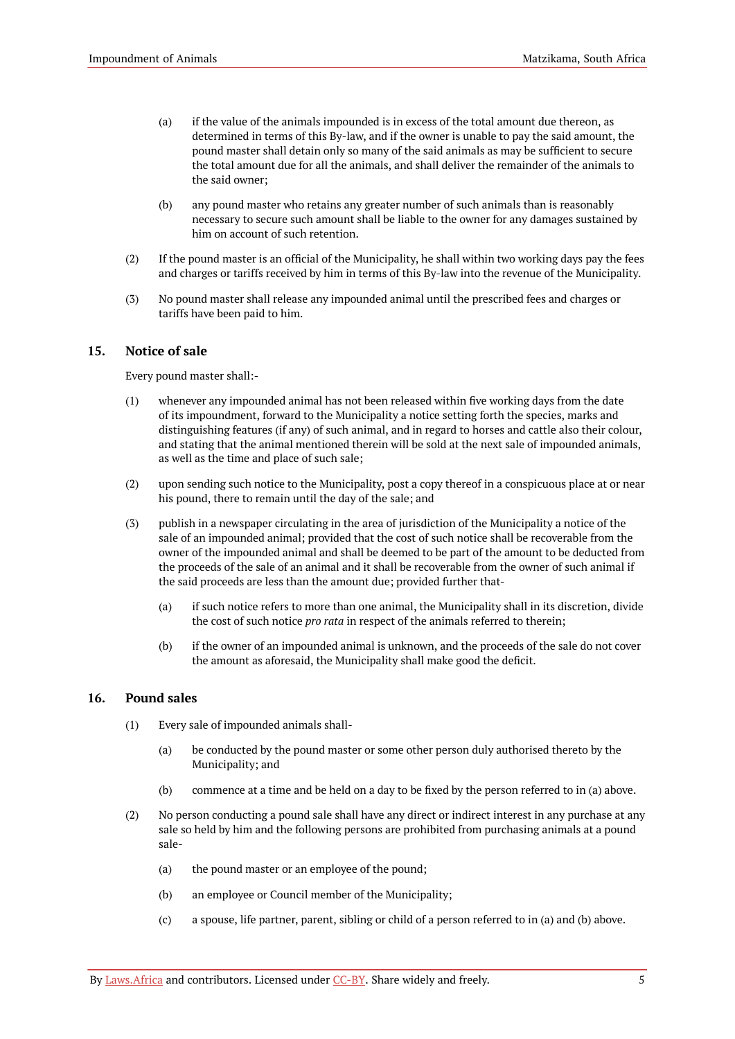- (a) if the value of the animals impounded is in excess of the total amount due thereon, as determined in terms of this By-law, and if the owner is unable to pay the said amount, the pound master shall detain only so many of the said animals as may be sufficient to secure the total amount due for all the animals, and shall deliver the remainder of the animals to the said owner;
- (b) any pound master who retains any greater number of such animals than is reasonably necessary to secure such amount shall be liable to the owner for any damages sustained by him on account of such retention.
- (2) If the pound master is an official of the Municipality, he shall within two working days pay the fees and charges or tariffs received by him in terms of this By-law into the revenue of the Municipality.
- (3) No pound master shall release any impounded animal until the prescribed fees and charges or tariffs have been paid to him.

# <span id="page-6-0"></span>**15. Notice of sale**

Every pound master shall:-

- (1) whenever any impounded animal has not been released within five working days from the date of its impoundment, forward to the Municipality a notice setting forth the species, marks and distinguishing features (if any) of such animal, and in regard to horses and cattle also their colour, and stating that the animal mentioned therein will be sold at the next sale of impounded animals, as well as the time and place of such sale;
- (2) upon sending such notice to the Municipality, post a copy thereof in a conspicuous place at or near his pound, there to remain until the day of the sale; and
- (3) publish in a newspaper circulating in the area of jurisdiction of the Municipality a notice of the sale of an impounded animal; provided that the cost of such notice shall be recoverable from the owner of the impounded animal and shall be deemed to be part of the amount to be deducted from the proceeds of the sale of an animal and it shall be recoverable from the owner of such animal if the said proceeds are less than the amount due; provided further that-
	- (a) if such notice refers to more than one animal, the Municipality shall in its discretion, divide the cost of such notice *pro rata* in respect of the animals referred to therein;
	- (b) if the owner of an impounded animal is unknown, and the proceeds of the sale do not cover the amount as aforesaid, the Municipality shall make good the deficit.

#### <span id="page-6-1"></span>**16. Pound sales**

- (1) Every sale of impounded animals shall-
	- (a) be conducted by the pound master or some other person duly authorised thereto by the Municipality; and
	- (b) commence at a time and be held on a day to be fixed by the person referred to in (a) above.
- (2) No person conducting a pound sale shall have any direct or indirect interest in any purchase at any sale so held by him and the following persons are prohibited from purchasing animals at a pound sale-
	- (a) the pound master or an employee of the pound;
	- (b) an employee or Council member of the Municipality;
	- (c) a spouse, life partner, parent, sibling or child of a person referred to in (a) and (b) above.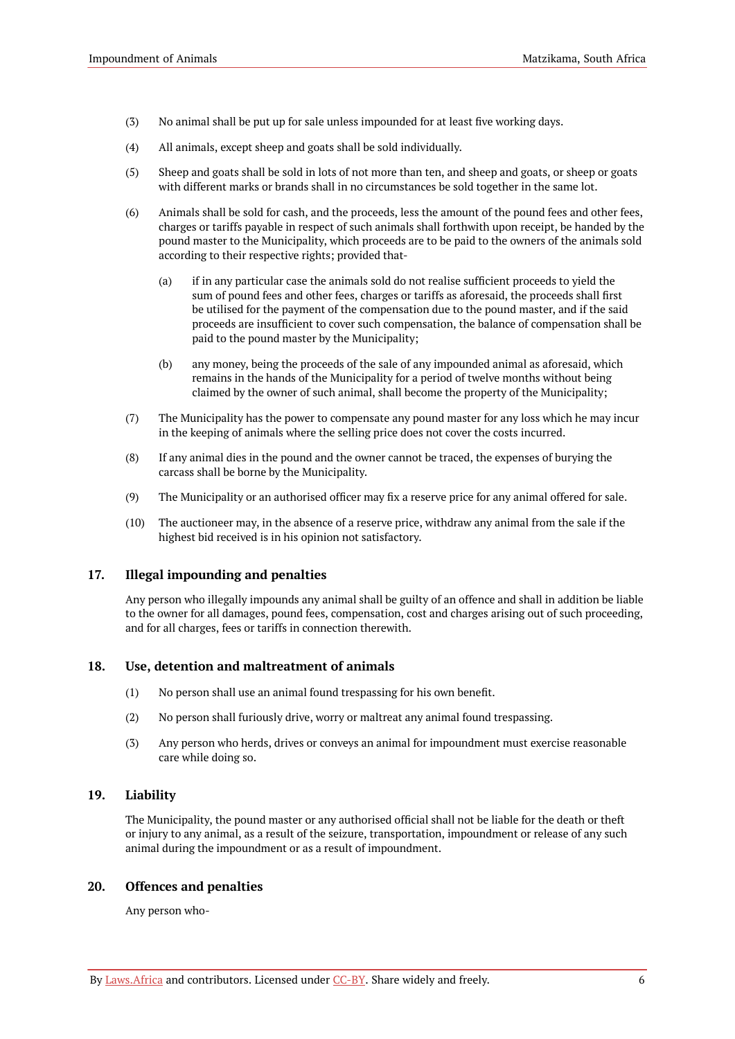- (3) No animal shall be put up for sale unless impounded for at least five working days.
- (4) All animals, except sheep and goats shall be sold individually.
- (5) Sheep and goats shall be sold in lots of not more than ten, and sheep and goats, or sheep or goats with different marks or brands shall in no circumstances be sold together in the same lot.
- (6) Animals shall be sold for cash, and the proceeds, less the amount of the pound fees and other fees, charges or tariffs payable in respect of such animals shall forthwith upon receipt, be handed by the pound master to the Municipality, which proceeds are to be paid to the owners of the animals sold according to their respective rights; provided that-
	- (a) if in any particular case the animals sold do not realise sufficient proceeds to yield the sum of pound fees and other fees, charges or tariffs as aforesaid, the proceeds shall first be utilised for the payment of the compensation due to the pound master, and if the said proceeds are insufficient to cover such compensation, the balance of compensation shall be paid to the pound master by the Municipality;
	- (b) any money, being the proceeds of the sale of any impounded animal as aforesaid, which remains in the hands of the Municipality for a period of twelve months without being claimed by the owner of such animal, shall become the property of the Municipality;
- (7) The Municipality has the power to compensate any pound master for any loss which he may incur in the keeping of animals where the selling price does not cover the costs incurred.
- (8) If any animal dies in the pound and the owner cannot be traced, the expenses of burying the carcass shall be borne by the Municipality.
- (9) The Municipality or an authorised officer may fix a reserve price for any animal offered for sale.
- (10) The auctioneer may, in the absence of a reserve price, withdraw any animal from the sale if the highest bid received is in his opinion not satisfactory.

#### <span id="page-7-0"></span>**17. Illegal impounding and penalties**

Any person who illegally impounds any animal shall be guilty of an offence and shall in addition be liable to the owner for all damages, pound fees, compensation, cost and charges arising out of such proceeding, and for all charges, fees or tariffs in connection therewith.

#### <span id="page-7-1"></span>**18. Use, detention and maltreatment of animals**

- (1) No person shall use an animal found trespassing for his own benefit.
- (2) No person shall furiously drive, worry or maltreat any animal found trespassing.
- (3) Any person who herds, drives or conveys an animal for impoundment must exercise reasonable care while doing so.

# <span id="page-7-2"></span>**19. Liability**

The Municipality, the pound master or any authorised official shall not be liable for the death or theft or injury to any animal, as a result of the seizure, transportation, impoundment or release of any such animal during the impoundment or as a result of impoundment.

#### <span id="page-7-3"></span>**20. Offences and penalties**

Any person who-